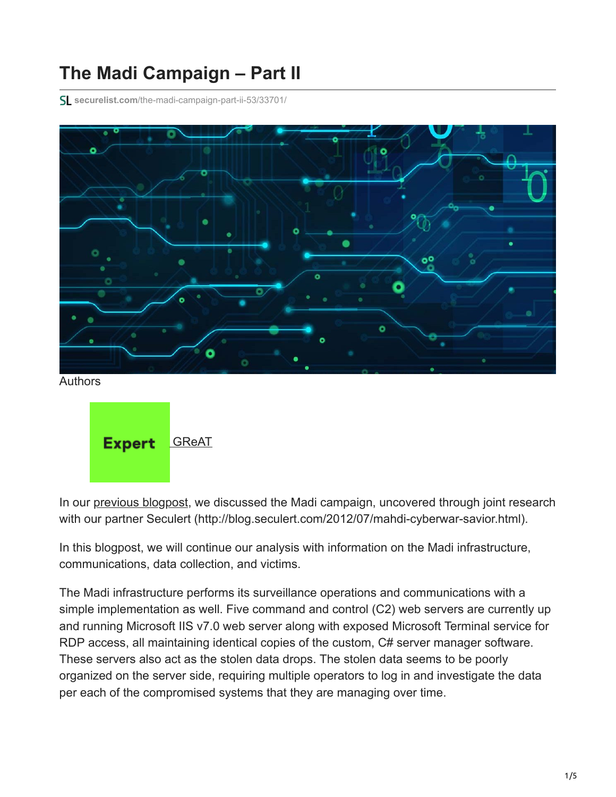## **The Madi Campaign – Part II**

**securelist.com**[/the-madi-campaign-part-ii-53/33701/](https://securelist.com/the-madi-campaign-part-ii-53/33701/)





In our [previous blogpost](https://securelist.com/the-madi-campaign-part-i-5/33693/), we discussed the Madi campaign, uncovered through joint research with our partner Seculert (http://blog.seculert.com/2012/07/mahdi-cyberwar-savior.html).

In this blogpost, we will continue our analysis with information on the Madi infrastructure, communications, data collection, and victims.

The Madi infrastructure performs its surveillance operations and communications with a simple implementation as well. Five command and control (C2) web servers are currently up and running Microsoft IIS v7.0 web server along with exposed Microsoft Terminal service for RDP access, all maintaining identical copies of the custom, C# server manager software. These servers also act as the stolen data drops. The stolen data seems to be poorly organized on the server side, requiring multiple operators to log in and investigate the data per each of the compromised systems that they are managing over time.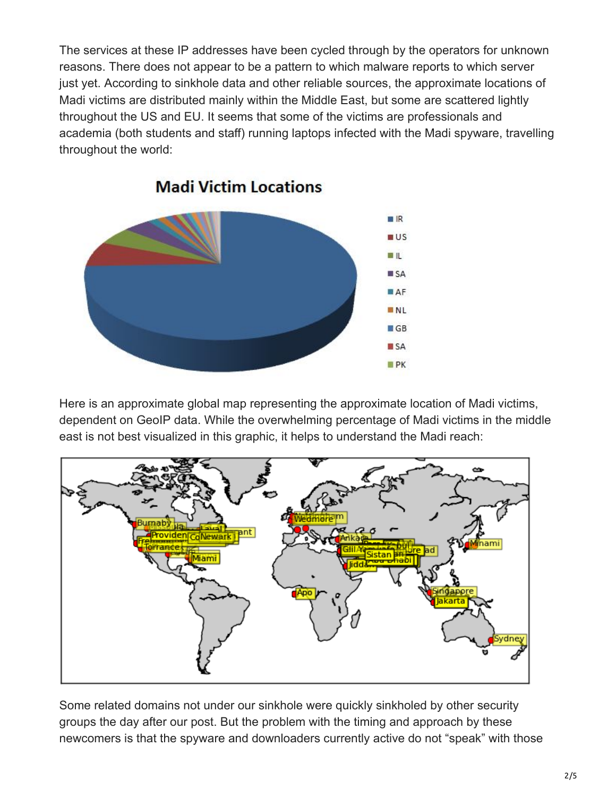The services at these IP addresses have been cycled through by the operators for unknown reasons. There does not appear to be a pattern to which malware reports to which server just yet. According to sinkhole data and other reliable sources, the approximate locations of Madi victims are distributed mainly within the Middle East, but some are scattered lightly throughout the US and EU. It seems that some of the victims are professionals and academia (both students and staff) running laptops infected with the Madi spyware, travelling throughout the world:



**Madi Victim Locations** 

Here is an approximate global map representing the approximate location of Madi victims, dependent on GeoIP data. While the overwhelming percentage of Madi victims in the middle east is not best visualized in this graphic, it helps to understand the Madi reach:



Some related domains not under our sinkhole were quickly sinkholed by other security groups the day after our post. But the problem with the timing and approach by these newcomers is that the spyware and downloaders currently active do not "speak" with those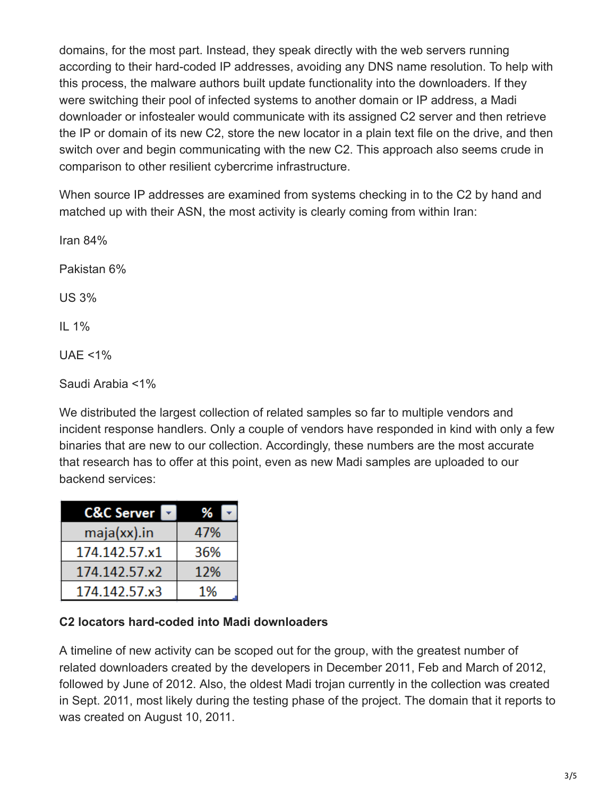domains, for the most part. Instead, they speak directly with the web servers running according to their hard-coded IP addresses, avoiding any DNS name resolution. To help with this process, the malware authors built update functionality into the downloaders. If they were switching their pool of infected systems to another domain or IP address, a Madi downloader or infostealer would communicate with its assigned C2 server and then retrieve the IP or domain of its new C2, store the new locator in a plain text file on the drive, and then switch over and begin communicating with the new C2. This approach also seems crude in comparison to other resilient cybercrime infrastructure.

When source IP addresses are examined from systems checking in to the C2 by hand and matched up with their ASN, the most activity is clearly coming from within Iran:

Iran 84% Pakistan 6% US 3% IL 1% UAE <1%

Saudi Arabia <1%

We distributed the largest collection of related samples so far to multiple vendors and incident response handlers. Only a couple of vendors have responded in kind with only a few binaries that are new to our collection. Accordingly, these numbers are the most accurate that research has to offer at this point, even as new Madi samples are uploaded to our backend services:

| <b>C&amp;C Server</b> | ℅   |
|-----------------------|-----|
| maja(xx).in           | 47% |
| 174.142.57.x1         | 36% |
| 174.142.57.x2         | 12% |
| 174.142.57.x3         | 1%  |

## **C2 locators hard-coded into Madi downloaders**

A timeline of new activity can be scoped out for the group, with the greatest number of related downloaders created by the developers in December 2011, Feb and March of 2012, followed by June of 2012. Also, the oldest Madi trojan currently in the collection was created in Sept. 2011, most likely during the testing phase of the project. The domain that it reports to was created on August 10, 2011.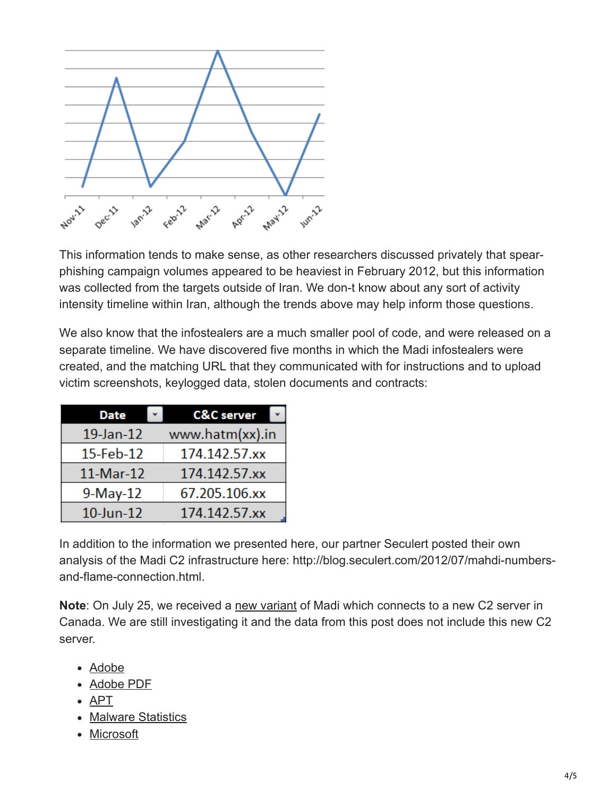

This information tends to make sense, as other researchers discussed privately that spearphishing campaign volumes appeared to be heaviest in February 2012, but this information was collected from the targets outside of Iran. We don-t know about any sort of activity intensity timeline within Iran, although the trends above may help inform those questions.

We also know that the infostealers are a much smaller pool of code, and were released on a separate timeline. We have discovered five months in which the Madi infostealers were created, and the matching URL that they communicated with for instructions and to upload victim screenshots, keylogged data, stolen documents and contracts:

| <b>Date</b>                  | <b>C&amp;C</b> server |
|------------------------------|-----------------------|
| www.hatm(xx).in<br>19-Jan-12 |                       |
| 15-Feb-12                    | 174.142.57.xx         |
| 11-Mar-12                    | 174.142.57.xx         |
| $9-May-12$                   | 67.205.106.xx         |
| $10$ -Jun- $12$              | 174.142.57.xx         |

In addition to the information we presented here, our partner Seculert posted their own analysis of the Madi C2 infrastructure here: http://blog.seculert.com/2012/07/mahdi-numbersand-flame-connection.html.

**Note**: On July 25, we received a [new variant](https://securelist.com/madi-is-back-new-tricks-and-a-new-commandcontrol-server-5/33709/) of Madi which connects to a new C2 server in Canada. We are still investigating it and the data from this post does not include this new C2 server.

- [Adobe](https://securelist.com/tag/adobe/)
- [Adobe PDF](https://securelist.com/tag/adobe-pdf/)
- [APT](https://securelist.com/tag/apt/)
- [Malware Statistics](https://securelist.com/tag/malware-statistics/)
- [Microsoft](https://securelist.com/tag/microsoft/)